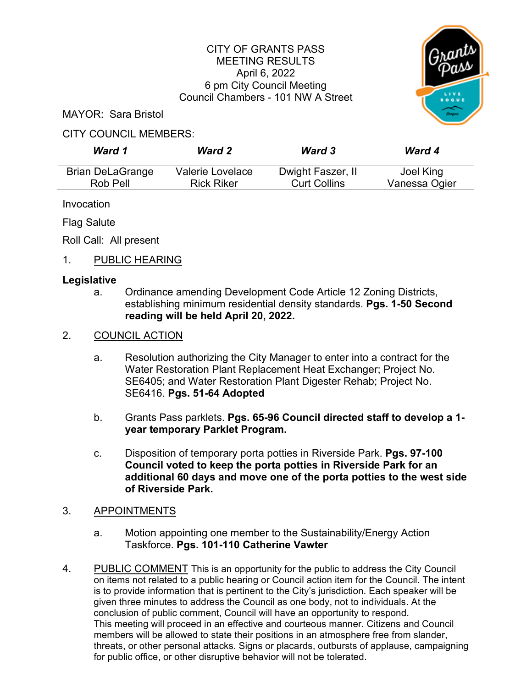# CITY OF GRANTS PASS MEETING RESULTS April 6, 2022 6 pm City Council Meeting Council Chambers - 101 NW A Street



MAYOR: Sara Bristol

### CITY COUNCIL MEMBERS:

| Ward 1                  | <b>Ward 2</b>     | <b>Ward 3</b>       | <b>Ward 4</b> |
|-------------------------|-------------------|---------------------|---------------|
| <b>Brian DeLaGrange</b> | Valerie Lovelace  | Dwight Faszer, II   | Joel King     |
| Rob Pell                | <b>Rick Riker</b> | <b>Curt Collins</b> | Vanessa Ogier |

Invocation

Flag Salute

Roll Call: All present

# 1. PUBLIC HEARING

### **Legislative**

a. Ordinance amending Development Code Article 12 Zoning Districts, establishing minimum residential density standards. **Pgs. 1-50 Second reading will be held April 20, 2022.**

# 2. COUNCIL ACTION

- a. Resolution authorizing the City Manager to enter into a contract for the Water Restoration Plant Replacement Heat Exchanger; Project No. SE6405; and Water Restoration Plant Digester Rehab; Project No. SE6416. **Pgs. 51-64 Adopted**
- b. Grants Pass parklets. **Pgs. 65-96 Council directed staff to develop a 1 year temporary Parklet Program.**
- c. Disposition of temporary porta potties in Riverside Park. **Pgs. 97-100 Council voted to keep the porta potties in Riverside Park for an additional 60 days and move one of the porta potties to the west side of Riverside Park.**
- 3. APPOINTMENTS
	- a. Motion appointing one member to the Sustainability/Energy Action Taskforce. **Pgs. 101-110 Catherine Vawter**
- 4. PUBLIC COMMENT This is an opportunity for the public to address the City Council on items not related to a public hearing or Council action item for the Council. The intent is to provide information that is pertinent to the City's jurisdiction. Each speaker will be given three minutes to address the Council as one body, not to individuals. At the conclusion of public comment, Council will have an opportunity to respond. This meeting will proceed in an effective and courteous manner. Citizens and Council members will be allowed to state their positions in an atmosphere free from slander, threats, or other personal attacks. Signs or placards, outbursts of applause, campaigning for public office, or other disruptive behavior will not be tolerated.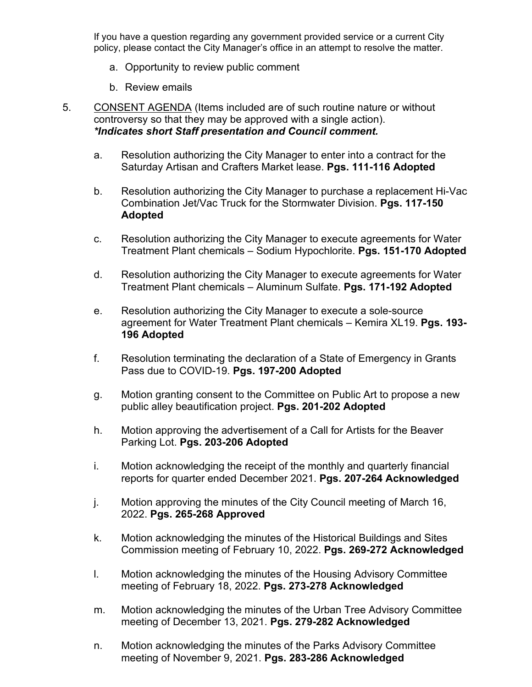If you have a question regarding any government provided service or a current City policy, please contact the City Manager's office in an attempt to resolve the matter.

- a. Opportunity to review public comment
- b. Review emails
- 5. CONSENT AGENDA (Items included are of such routine nature or without controversy so that they may be approved with a single action). *\*Indicates short Staff presentation and Council comment.*
	- a. Resolution authorizing the City Manager to enter into a contract for the Saturday Artisan and Crafters Market lease. **Pgs. 111-116 Adopted**
	- b. Resolution authorizing the City Manager to purchase a replacement Hi-Vac Combination Jet/Vac Truck for the Stormwater Division. **Pgs. 117-150 Adopted**
	- c. Resolution authorizing the City Manager to execute agreements for Water Treatment Plant chemicals – Sodium Hypochlorite. **Pgs. 151-170 Adopted**
	- d. Resolution authorizing the City Manager to execute agreements for Water Treatment Plant chemicals – Aluminum Sulfate. **Pgs. 171-192 Adopted**
	- e. Resolution authorizing the City Manager to execute a sole-source agreement for Water Treatment Plant chemicals – Kemira XL19. **Pgs. 193- 196 Adopted**
	- f. Resolution terminating the declaration of a State of Emergency in Grants Pass due to COVID-19. **Pgs. 197-200 Adopted**
	- g. Motion granting consent to the Committee on Public Art to propose a new public alley beautification project. **Pgs. 201-202 Adopted**
	- h. Motion approving the advertisement of a Call for Artists for the Beaver Parking Lot. **Pgs. 203-206 Adopted**
	- i. Motion acknowledging the receipt of the monthly and quarterly financial reports for quarter ended December 2021. **Pgs. 207-264 Acknowledged**
	- j. Motion approving the minutes of the City Council meeting of March 16, 2022. **Pgs. 265-268 Approved**
	- k. Motion acknowledging the minutes of the Historical Buildings and Sites Commission meeting of February 10, 2022. **Pgs. 269-272 Acknowledged**
	- l. Motion acknowledging the minutes of the Housing Advisory Committee meeting of February 18, 2022. **Pgs. 273-278 Acknowledged**
	- m. Motion acknowledging the minutes of the Urban Tree Advisory Committee meeting of December 13, 2021. **Pgs. 279-282 Acknowledged**
	- n. Motion acknowledging the minutes of the Parks Advisory Committee meeting of November 9, 2021. **Pgs. 283-286 Acknowledged**